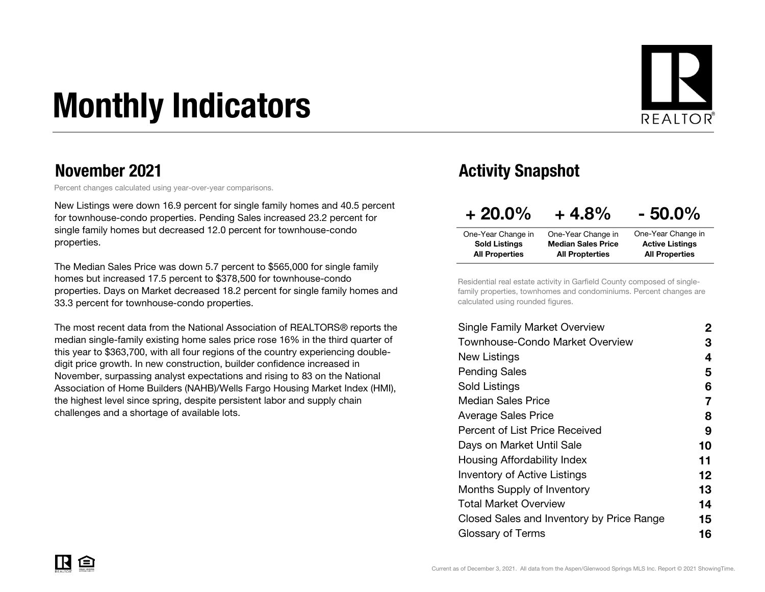# Monthly Indicators



#### November 2021

Percent changes calculated using year-over-year comparisons.

New Listings were down 16.9 percent for single family homes and 40.5 percent for townhouse-condo properties. Pending Sales increased 23.2 percent for single family homes but decreased 12.0 percent for townhouse-condo properties.

The Median Sales Price was down 5.7 percent to \$565,000 for single family homes but increased 17.5 percent to \$378,500 for townhouse-condo properties. Days on Market decreased 18.2 percent for single family homes and 33.3 percent for townhouse-condo properties.

The most recent data from the National Association of REALTORS® reports the median single-family existing home sales price rose 16% in the third quarter of this year to \$363,700, with all four regions of the country experiencing doubledigit price growth. In new construction, builder confidence increased in November, surpassing analyst expectations and rising to 83 on the National Association of Home Builders (NAHB)/Wells Fargo Housing Market Index (HMI), the highest level since spring, despite persistent labor and supply chain challenges and a shortage of available lots.

### Activity Snapshot

| $+20.0\%$             | $+4.8%$                   | $-50.0\%$              |
|-----------------------|---------------------------|------------------------|
| One-Year Change in    | One-Year Change in        | One-Year Change in     |
| <b>Sold Listings</b>  | <b>Median Sales Price</b> | <b>Active Listings</b> |
| <b>All Properties</b> | <b>All Propterties</b>    | <b>All Properties</b>  |

Residential real estate activity in Garfield County composed of singlefamily properties, townhomes and condominiums. Percent changes are calculated using rounded figures.

| <b>Single Family Market Overview</b>      | 2  |
|-------------------------------------------|----|
| <b>Townhouse-Condo Market Overview</b>    | З  |
| New Listings                              | 4  |
| <b>Pending Sales</b>                      | 5  |
| Sold Listings                             | 6  |
| Median Sales Price                        | 7  |
| <b>Average Sales Price</b>                | 8  |
| Percent of List Price Received            | 9  |
| Days on Market Until Sale                 | 10 |
| Housing Affordability Index               | 11 |
| <b>Inventory of Active Listings</b>       | 12 |
| Months Supply of Inventory                | 13 |
| <b>Total Market Overview</b>              | 14 |
| Closed Sales and Inventory by Price Range | 15 |
| Glossary of Terms                         | 16 |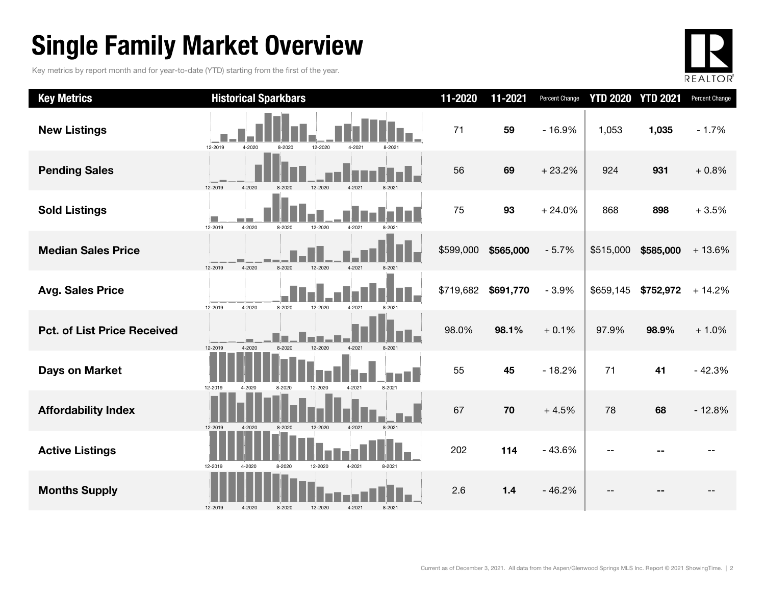### Single Family Market Overview

Key metrics by report month and for year-to-date (YTD) starting from the first of the year.



| <b>Key Metrics</b>                 | <b>Historical Sparkbars</b>                                | 11-2020   | 11-2021   | Percent Change | <b>YTD 2020 YTD 2021</b> |           | Percent Change |
|------------------------------------|------------------------------------------------------------|-----------|-----------|----------------|--------------------------|-----------|----------------|
| <b>New Listings</b>                | 12-2019<br>12-2020<br>4-2020<br>8-2020<br>4-2021<br>8-2021 | 71        | 59        | $-16.9%$       | 1,053                    | 1,035     | $-1.7%$        |
| <b>Pending Sales</b>               | 12-2019<br>4-2020<br>12-2020<br>8-2020<br>4-2021<br>8-2021 | 56        | 69        | $+23.2%$       | 924                      | 931       | $+0.8%$        |
| <b>Sold Listings</b>               | 12-2019<br>4-2020<br>12-2020<br>4-2021<br>8-2020<br>8-202  | 75        | 93        | $+24.0%$       | 868                      | 898       | $+3.5%$        |
| <b>Median Sales Price</b>          | 12-2019<br>4-2020<br>8-2020<br>12-2020<br>4-2021           | \$599,000 | \$565,000 | $-5.7%$        | \$515,000                | \$585,000 | $+13.6%$       |
| <b>Avg. Sales Price</b>            | 12-2019<br>4-2020<br>8-2020<br>12-2020<br>4-2021<br>8-2021 | \$719,682 | \$691,770 | $-3.9%$        | \$659,145                | \$752,972 | $+14.2%$       |
| <b>Pct. of List Price Received</b> | 12-2020<br>12-2019<br>4-2020<br>8-2020<br>4-2021           | 98.0%     | 98.1%     | $+0.1%$        | 97.9%                    | 98.9%     | $+1.0%$        |
| <b>Days on Market</b>              | 12-2019<br>4-2021<br>8-2021<br>4-2020<br>8-2020<br>12-2020 | 55        | 45        | $-18.2%$       | 71                       | 41        | $-42.3%$       |
| <b>Affordability Index</b>         | 12-2020<br>8-2021<br>12-2019<br>4-2020<br>8-2020<br>4-2021 | 67        | 70        | $+4.5%$        | 78                       | 68        | $-12.8%$       |
| <b>Active Listings</b>             | 12-2019<br>12-2020<br>4-2021<br>4-2020<br>8-2020<br>8-2021 | 202       | 114       | $-43.6%$       |                          |           |                |
| <b>Months Supply</b>               | 12-2019<br>4-2020<br>8-2020<br>12-2020<br>4-2021<br>8-2021 | 2.6       | $1.4$     | $-46.2%$       |                          |           |                |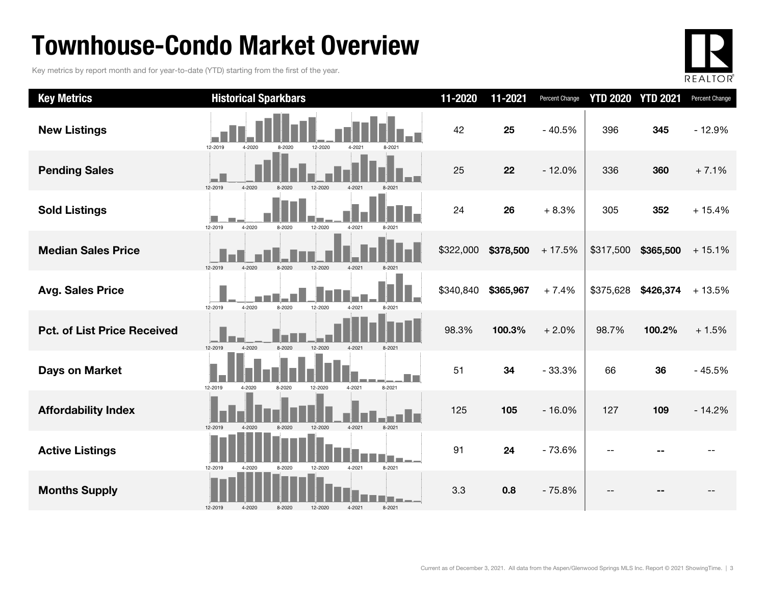### Townhouse-Condo Market Overview

Key metrics by report month and for year-to-date (YTD) starting from the first of the year.



| <b>Key Metrics</b>                 | <b>Historical Sparkbars</b>                                   | 11-2020   | 11-2021   | Percent Change | <b>YTD 2020</b> | <b>YTD 2021</b> | Percent Change |
|------------------------------------|---------------------------------------------------------------|-----------|-----------|----------------|-----------------|-----------------|----------------|
| <b>New Listings</b>                | 12-2019<br>4-2020<br>12-2020<br>4-2021<br>8-2020              | 42        | 25        | $-40.5%$       | 396             | 345             | $-12.9%$       |
| <b>Pending Sales</b>               | 12-2019<br>4-2020<br>12-2020                                  | 25        | 22        | $-12.0%$       | 336             | 360             | $+7.1%$        |
| <b>Sold Listings</b>               | 12-2019<br>4-2020<br>8-2020<br>12-2020<br>4-2021              | 24        | 26        | $+8.3%$        | 305             | 352             | $+15.4%$       |
| <b>Median Sales Price</b>          | 12-2019<br>12-2020<br>4-2020<br>8-2020<br>4-2021              | \$322,000 | \$378,500 | $+17.5%$       | \$317,500       | \$365,500       | $+15.1%$       |
| <b>Avg. Sales Price</b>            | 4-2020<br>8-2020<br>12-2019<br>12-2020<br>4-2021<br>8-2021    | \$340,840 | \$365,967 | $+7.4%$        | \$375,628       | \$426,374       | $+13.5%$       |
| <b>Pct. of List Price Received</b> | 12-2019<br>4-2020<br>8-2020<br>12-2020<br>4-2021              | 98.3%     | 100.3%    | $+2.0%$        | 98.7%           | 100.2%          | $+1.5%$        |
| <b>Days on Market</b>              | 12-2019<br>12-2020<br>4-2021<br>8-2021<br>4-2020<br>8-2020    | 51        | 34        | $-33.3%$       | 66              | 36              | $-45.5%$       |
| <b>Affordability Index</b>         | 4-2021<br>12-2020<br>8-2021<br>12-2019<br>8-2020<br>$4 - 202$ | 125       | 105       | $-16.0%$       | 127             | 109             | $-14.2%$       |
| <b>Active Listings</b>             | 4-2021<br>12-2019<br>8-2021<br>12-2020<br>4-2020<br>8-2020    | 91        | 24        | $-73.6%$       |                 |                 |                |
| <b>Months Supply</b>               | 4-2021<br>8-2021<br>12-2019<br>4-2020<br>8-2020<br>12-2020    | 3.3       | 0.8       | $-75.8%$       |                 |                 |                |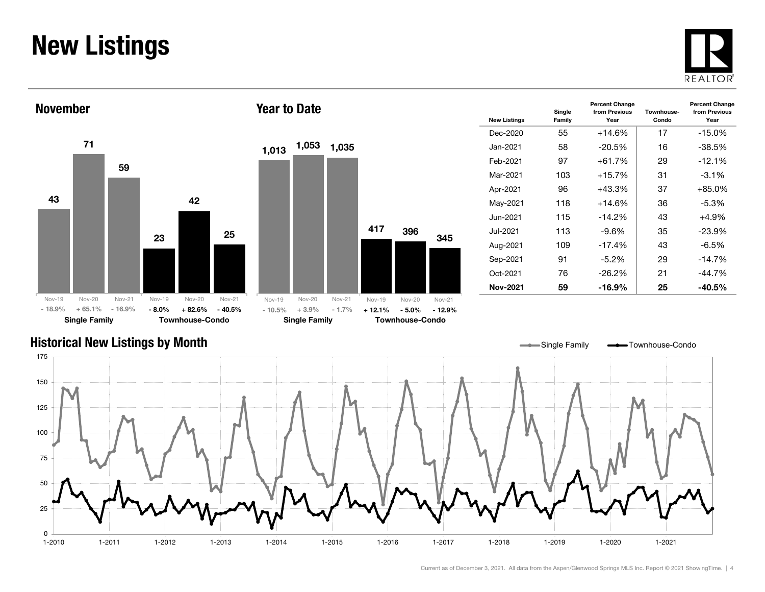### New Listings







Year to Date

| <b>New Listings</b> | Single<br>Family | <b>Percent Change</b><br>from Previous<br>Year | Townhouse-<br>Condo | <b>Percent Change</b><br>from Previous<br>Year |
|---------------------|------------------|------------------------------------------------|---------------------|------------------------------------------------|
| Dec-2020            | 55               | $+14.6%$                                       | 17                  | $-15.0\%$                                      |
| Jan-2021.           | 58               | $-20.5%$                                       | 16                  | $-38.5%$                                       |
| Feb-2021            | 97               | $+61.7%$                                       | 29                  | $-12.1%$                                       |
| Mar-2021            | 103              | $+15.7%$                                       | 31                  | $-3.1\%$                                       |
| Apr-2021            | 96               | $+43.3%$                                       | 37                  | $+85.0%$                                       |
| May-2021            | 118              | $+14.6%$                                       | 36                  | $-5.3\%$                                       |
| Jun-2021            | 115              | $-14.2%$                                       | 43                  | $+4.9%$                                        |
| Jul-2021            | 113              | $-9.6%$                                        | 35                  | $-23.9%$                                       |
| Aug-2021            | 109              | $-17.4%$                                       | 43                  | -6.5%                                          |
| Sep-2021            | 91               | $-5.2%$                                        | 29                  | $-14.7\%$                                      |
| Oct-2021            | 76               | $-26.2\%$                                      | 21                  | $-44.7%$                                       |
| Nov-2021            | 59               | -16.9%                                         | 25                  | -40.5%                                         |

#### Historical New Listings by Month

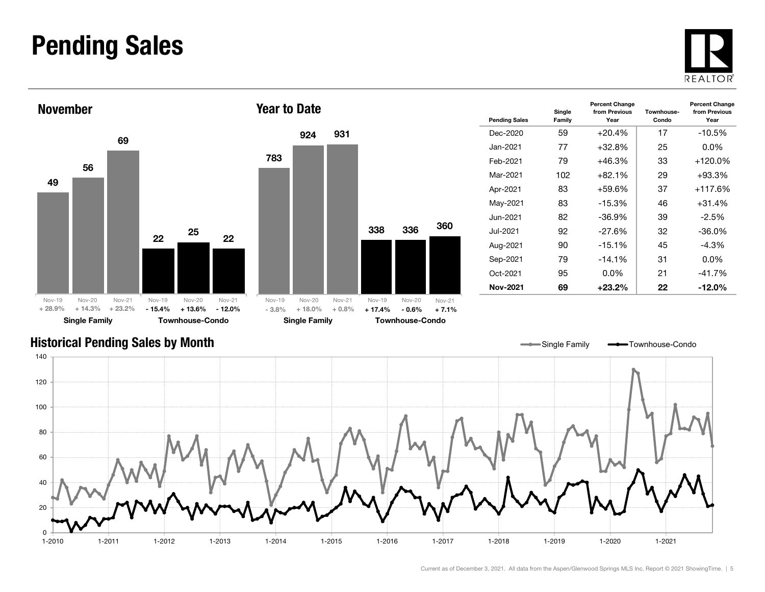### Pending Sales







| <b>Pending Sales</b> | Single<br>Family | <b>Percent Change</b><br>from Previous<br>Year | Townhouse-<br>Condo | <b>Percent Change</b><br>from Previous<br>Year |
|----------------------|------------------|------------------------------------------------|---------------------|------------------------------------------------|
| Dec-2020             | 59               | $+20.4%$                                       | 17                  | $-10.5\%$                                      |
| Jan-2021.            | 77               | $+32.8%$                                       | 25                  | $0.0\%$                                        |
| Feb-2021             | 79               | $+46.3%$                                       | 33                  | $+120.0\%$                                     |
| Mar-2021             | 102              | $+82.1%$                                       | 29                  | $+93.3%$                                       |
| Apr-2021             | 83               | $+59.6%$                                       | 37                  | $+117.6%$                                      |
| May-2021             | 83               | $-15.3%$                                       | 46                  | $+31.4%$                                       |
| Jun-2021.            | 82               | $-36.9%$                                       | 39                  | $-2.5\%$                                       |
| Jul-2021             | 92               | $-27.6%$                                       | 32                  | $-36.0%$                                       |
| Aug-2021             | 90               | $-15.1\%$                                      | 45                  | -4.3%                                          |
| Sep-2021             | 79               | $-14.1%$                                       | 31                  | $0.0\%$                                        |
| Oct-2021             | 95               | $0.0\%$                                        | 21                  | $-41.7%$                                       |
| Nov-2021             | 69               | $+23.2\%$                                      | 22                  | -12.0%                                         |

Single Family **-** Townhouse-Condo

#### Historical Pending Sales by Month

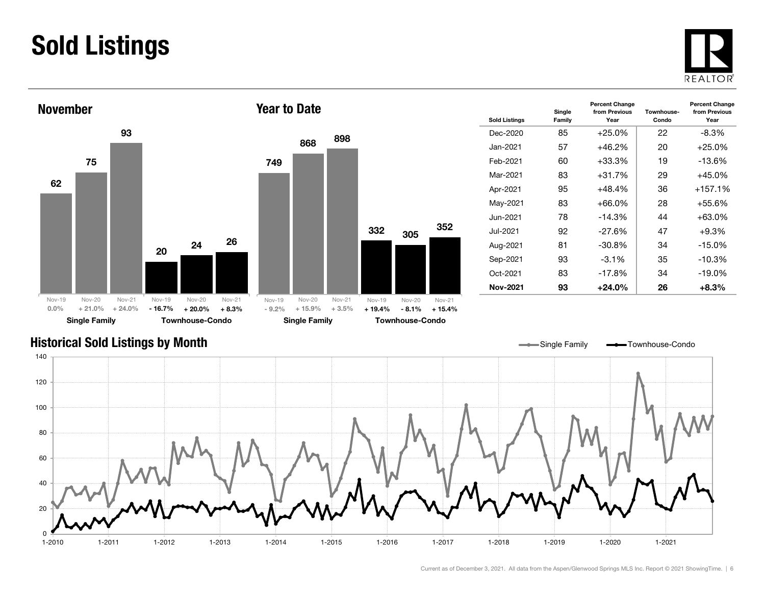### Sold Listings





| <b>Sold Listings</b> | Single<br>Family | <b>Percent Change</b><br>from Previous<br>Year | Townhouse-<br>Condo | <b>Percent Change</b><br>from Previous<br>Year |
|----------------------|------------------|------------------------------------------------|---------------------|------------------------------------------------|
| Dec-2020             | 85               | $+25.0%$                                       | 22                  | -8.3%                                          |
| Jan-2021             | 57               | $+46.2%$                                       | 20                  | $+25.0%$                                       |
| Feb-2021             | 60               | $+33.3\%$                                      | 19                  | -13.6%                                         |
| Mar-2021             | 83               | $+31.7%$                                       | 29                  | $+45.0\%$                                      |
| Apr-2021             | 95               | $+48.4%$                                       | 36                  | $+157.1%$                                      |
| May-2021             | 83               | $+66.0\%$                                      | 28                  | +55.6%                                         |
| Jun-2021.            | 78               | $-14.3%$                                       | 44                  | $+63.0%$                                       |
| Jul-2021.            | 92               | $-27.6%$                                       | 47                  | $+9.3%$                                        |
| Aug-2021             | 81               | $-30.8\%$                                      | 34                  | $-15.0%$                                       |
| Sep-2021             | 93               | $-3.1%$                                        | 35                  | $-10.3%$                                       |
| Oct-2021             | 83               | $-17.8%$                                       | 34                  | $-19.0\%$                                      |
| <b>Nov-2021</b>      | 93               | +24.0%                                         | 26                  | $+8.3\%$                                       |

#### Historical Sold Listings by Month



Current as of December 3, 2021. All data from the Aspen/Glenwood Springs MLS Inc. Report © 2021 ShowingTime. | 6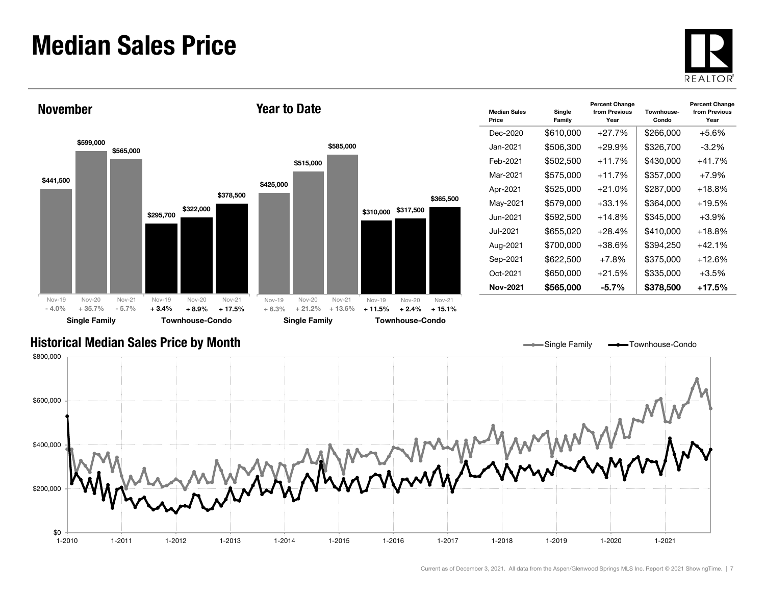### Median Sales Price





| <b>Median Sales</b><br>Price | Single<br>Family | <b>Percent Change</b><br>from Previous<br>Year | Townhouse-<br>Condo | <b>Percent Change</b><br>from Previous<br>Year |
|------------------------------|------------------|------------------------------------------------|---------------------|------------------------------------------------|
| Dec-2020                     | \$610,000        | $+27.7%$                                       | \$266,000           | $+5.6%$                                        |
| Jan-2021.                    | \$506,300        | $+29.9%$                                       | \$326,700           | $-3.2\%$                                       |
| Feb-2021                     | \$502,500        | $+11.7%$                                       | \$430,000           | $+41.7%$                                       |
| Mar-2021                     | \$575,000        | $+11.7%$                                       | \$357,000           | $+7.9\%$                                       |
| Apr-2021                     | \$525,000        | $+21.0%$                                       | \$287,000           | $+18.8%$                                       |
| May-2021                     | \$579,000        | $+33.1\%$                                      | \$364,000           | $+19.5%$                                       |
| Jun-2021                     | \$592,500        | $+14.8%$                                       | \$345,000           | $+3.9\%$                                       |
| Jul-2021.                    | \$655,020        | $+28.4%$                                       | \$410,000           | $+18.8%$                                       |
| Aug-2021                     | \$700,000        | +38.6%                                         | \$394,250           | $+42.1%$                                       |
| Sep-2021                     | \$622,500        | $+7.8\%$                                       | \$375,000           | $+12.6\%$                                      |
| Oct-2021                     | \$650,000        | $+21.5%$                                       | \$335,000           | $+3.5\%$                                       |
| Nov-2021                     | \$565,000        | -5.7%                                          | \$378,500           | $+17.5%$                                       |

Single Family **-** Townhouse-Condo

#### Historical Median Sales Price by Month

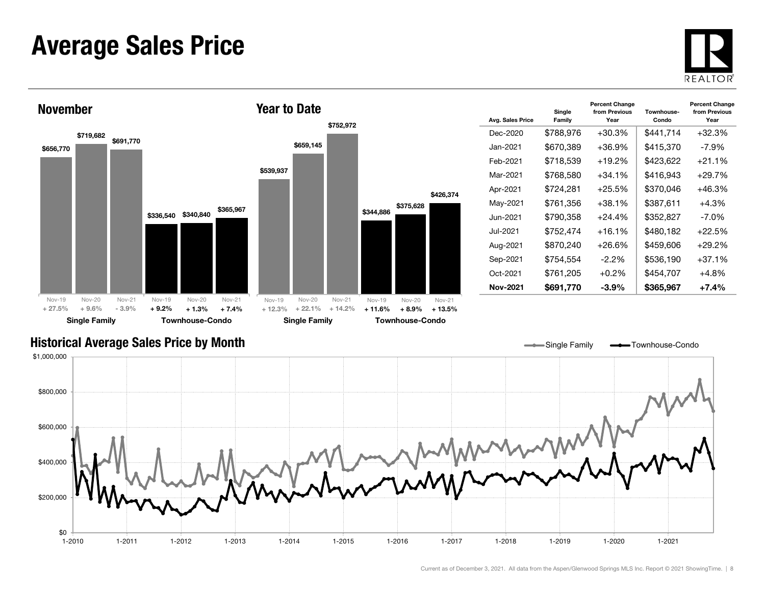### Average Sales Price



![](_page_7_Figure_2.jpeg)

| Avg. Sales Price | Single<br>Family | <b>Percent Change</b><br>from Previous<br>Year | Townhouse-<br>Condo | <b>Percent Change</b><br>from Previous<br>Year |
|------------------|------------------|------------------------------------------------|---------------------|------------------------------------------------|
| Dec-2020         | \$788,976        | $+30.3%$                                       | \$441,714           | $+32.3%$                                       |
| Jan-2021.        | \$670,389        | $+36.9%$                                       | \$415,370           | $-7.9\%$                                       |
| Feb-2021         | \$718,539        | $+19.2%$                                       | \$423,622           | $+21.1%$                                       |
| Mar-2021         | \$768,580        | +34.1%                                         | \$416.943           | $+29.7%$                                       |
| Apr-2021         | \$724.281        | $+25.5%$                                       | \$370.046           | $+46.3%$                                       |
| May-2021         | \$761,356        | +38.1%                                         | \$387,611           | $+4.3%$                                        |
| Jun-2021         | \$790,358        | $+24.4\%$                                      | \$352,827           | $-7.0\%$                                       |
| Jul-2021.        | \$752,474        | $+16.1%$                                       | \$480,182           | $+22.5%$                                       |
| Aug-2021         | \$870,240        | +26.6%                                         | \$459,606           | $+29.2%$                                       |
| Sep-2021         | \$754.554        | $-2.2\%$                                       | \$536,190           | $+37.1%$                                       |
| Oct-2021         | \$761.205        | $+0.2\%$                                       | \$454.707           | $+4.8%$                                        |
| Nov-2021         | \$691,770        | -3.9%                                          | \$365,967           | $+7.4%$                                        |

#### Historical Average Sales Price by Month

![](_page_7_Figure_5.jpeg)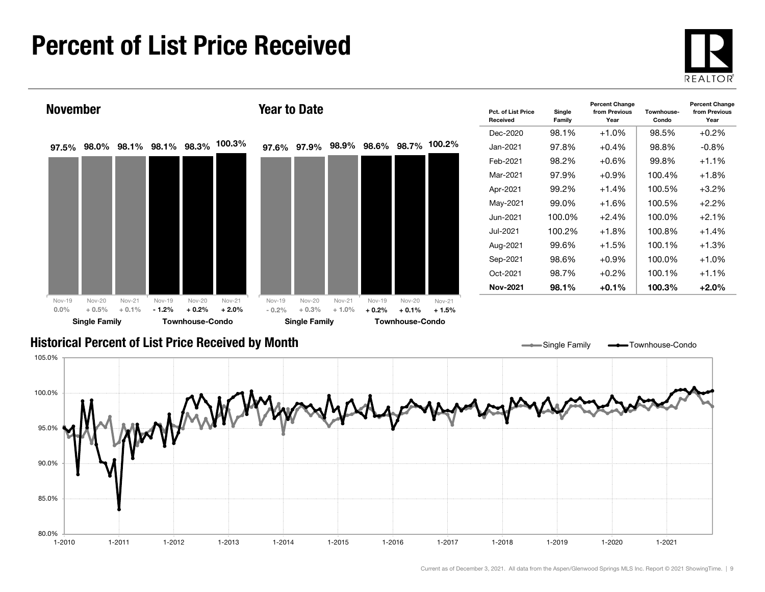### Percent of List Price Received

80.0%

85.0%

90.0%

![](_page_8_Picture_1.jpeg)

![](_page_8_Figure_2.jpeg)

1-2010 1-2011 1-2012 1-2013 1-2014 1-2015 1-2016 1-2017 1-2018 1-2019 1-2020 1-2021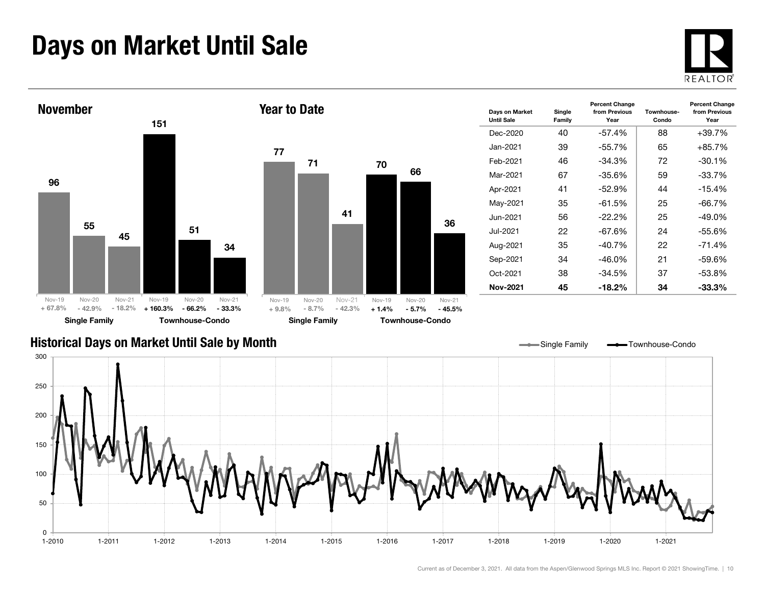### Days on Market Until Sale

![](_page_9_Picture_1.jpeg)

![](_page_9_Figure_2.jpeg)

#### Historical Days on Market Until Sale by Month

![](_page_9_Figure_4.jpeg)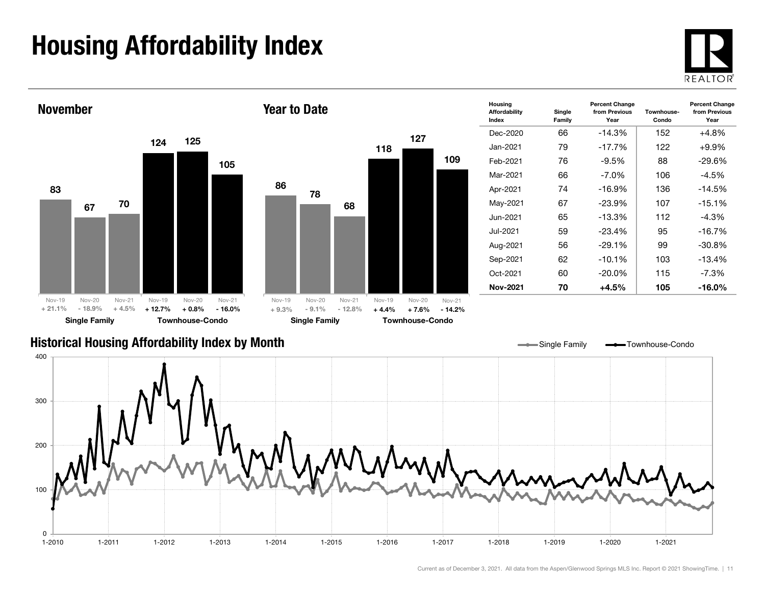## Housing Affordability Index

![](_page_10_Picture_1.jpeg)

![](_page_10_Figure_2.jpeg)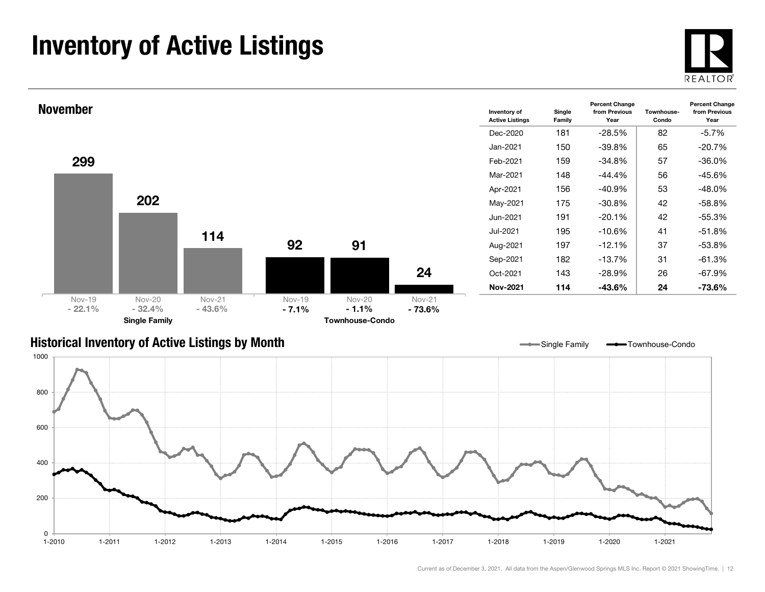### Inventory of Active Listings

![](_page_11_Picture_1.jpeg)

![](_page_11_Figure_2.jpeg)

#### Historical Inventory of Active Listings by Month

![](_page_11_Figure_4.jpeg)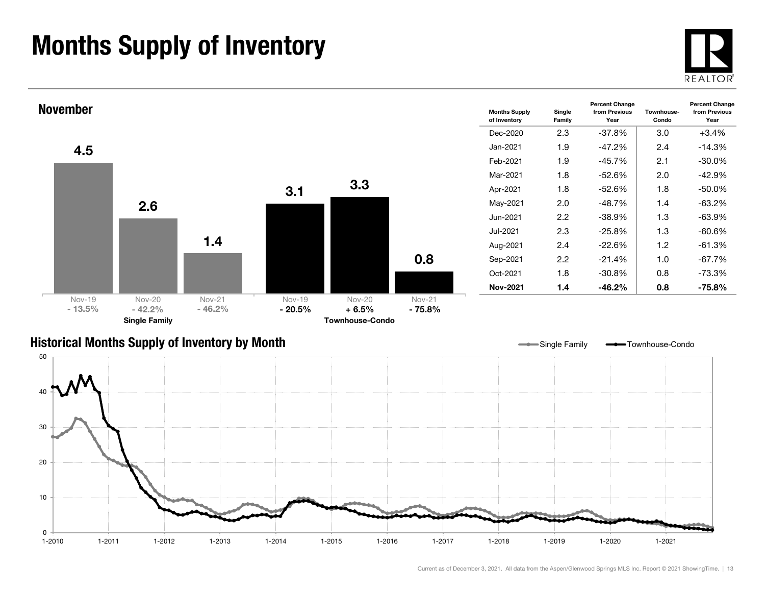### Months Supply of Inventory

![](_page_12_Picture_1.jpeg)

![](_page_12_Figure_2.jpeg)

![](_page_12_Figure_3.jpeg)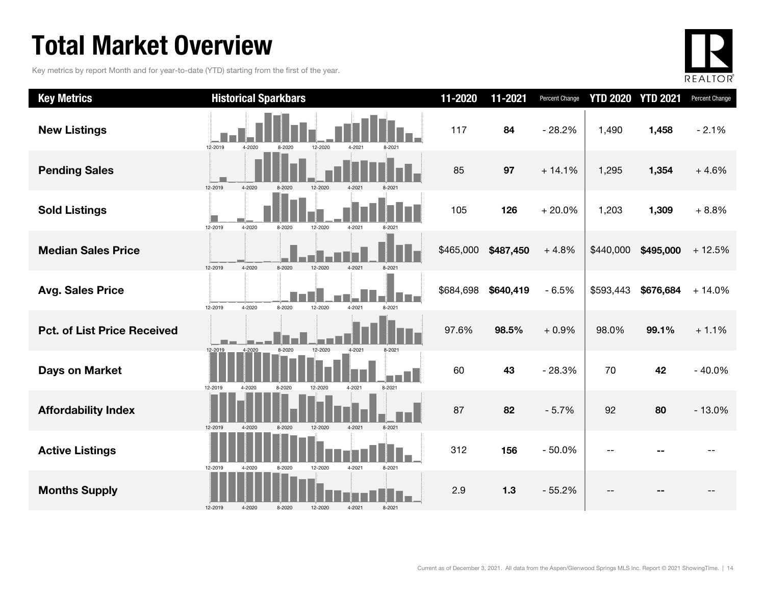### Total Market Overview

Key metrics by report Month and for year-to-date (YTD) starting from the first of the year.

![](_page_13_Picture_2.jpeg)

| <b>Key Metrics</b>                 | <b>Historical Sparkbars</b>                                                     | 11-2020   | 11-2021   | Percent Change | <b>YTD 2020</b> | <b>YTD 2021</b> | Percent Change |
|------------------------------------|---------------------------------------------------------------------------------|-----------|-----------|----------------|-----------------|-----------------|----------------|
| <b>New Listings</b>                | 12-2019<br>4-2020<br>12-2020<br>8-2020<br>4-2021<br>8-2021                      | 117       | 84        | $-28.2%$       | 1,490           | 1,458           | $-2.1%$        |
| <b>Pending Sales</b>               | 12-2019<br>4-2020<br>12-2020<br>8-2020<br>4-2021                                | 85        | 97        | $+14.1%$       | 1,295           | 1,354           | $+4.6%$        |
| <b>Sold Listings</b>               | 4-2020<br>12-2019<br>12-2020<br>8-2020<br>4-2021<br>8-2021                      | 105       | 126       | $+20.0%$       | 1,203           | 1,309           | $+8.8%$        |
| <b>Median Sales Price</b>          | 4-2020<br>8-2020<br>12-2019<br>12-2020<br>4-2021<br>8-2021                      | \$465,000 | \$487,450 | $+4.8%$        | \$440,000       | \$495,000       | $+12.5%$       |
| <b>Avg. Sales Price</b>            | 12-2019<br>4-2020<br>8-2020<br>12-2020<br>4-2021<br>8-2021                      | \$684,698 | \$640,419 | $-6.5%$        | \$593,443       | \$676,684       | $+14.0%$       |
| <b>Pct. of List Price Received</b> | 8-2020<br>12-2020<br>4-2021                                                     | 97.6%     | 98.5%     | $+0.9%$        | 98.0%           | 99.1%           | $+1.1%$        |
| <b>Days on Market</b>              | 12-2019<br>4-2020<br>12-2019<br>4-2021<br>4-2020<br>8-2020<br>12-2020<br>8-2021 | 60        | 43        | $-28.3%$       | 70              | 42              | $-40.0%$       |
| <b>Affordability Index</b>         | 12-2019<br>12-2020<br>4-2021<br>8-2021<br>$4 - 202$<br>8-2020                   | 87        | 82        | $-5.7%$        | 92              | 80              | $-13.0%$       |
| <b>Active Listings</b>             | 12-2019<br>8-2020<br>12-2020<br>4-2021<br>8-2021<br>4-2020                      | 312       | 156       | $-50.0%$       |                 |                 |                |
| <b>Months Supply</b>               | 4-2021<br>12-2019<br>4-2020<br>8-2020<br>12-2020<br>8-2021                      | 2.9       | $1.3$     | $-55.2%$       |                 |                 |                |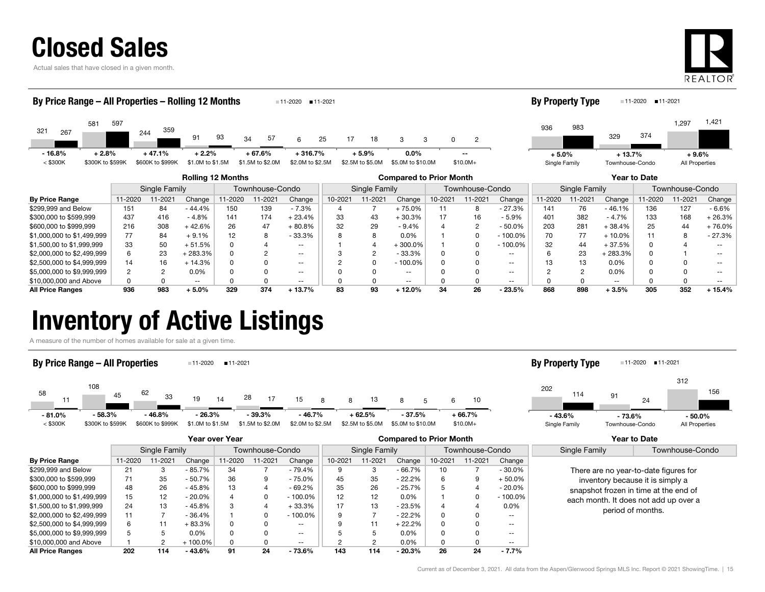![](_page_14_Picture_0.jpeg)

Actual sales that have closed in a given month.

![](_page_14_Picture_2.jpeg)

| By Price Range - All Properties - Rolling 12 Months |                             |     |                              |                                                                       |                                   |                              |                | $11-2020$ 11-2021        |                               |                                   |                                                                            |                                                                                                     |                                       |                     |                                                   |         | <b>By Property Type</b>                                             |                                                                                 | $11-2020$                   | ■ 11-2021                             |                                                                       |  |
|-----------------------------------------------------|-----------------------------|-----|------------------------------|-----------------------------------------------------------------------|-----------------------------------|------------------------------|----------------|--------------------------|-------------------------------|-----------------------------------|----------------------------------------------------------------------------|-----------------------------------------------------------------------------------------------------|---------------------------------------|---------------------|---------------------------------------------------|---------|---------------------------------------------------------------------|---------------------------------------------------------------------------------|-----------------------------|---------------------------------------|-----------------------------------------------------------------------|--|
| 321<br>267                                          | 581                         | 597 | 359<br>244                   | 91                                                                    | 93                                | 34                           | 57             |                          | 25                            | 17                                | 18                                                                         |                                                                                                     |                                       | 2                   |                                                   | 936     | 983                                                                 | 329                                                                             | 374                         | 1,297                                 | 1,421                                                                 |  |
| $-16.8%$<br>$<$ \$300K                              | $+2.8%$<br>\$300K to \$599K |     | $+47.1%$<br>\$600K to \$999K | $+2.2%$<br>\$1.0M to \$1.5M                                           |                                   | $+67.6%$<br>\$1.5M to \$2.0M |                |                          | $+316.7%$<br>\$2.0M to \$2.5M |                                   | $+5.9%$<br>\$2.5M to \$5.0M                                                | $0.0\%$<br>\$5.0M to \$10.0M                                                                        | $\overline{\phantom{m}}$<br>$$10.0M+$ |                     |                                                   | $+5.0%$ | Single Family                                                       |                                                                                 | $+13.7%$<br>Townhouse-Condo |                                       | $+9.6%$<br>All Properties                                             |  |
|                                                     |                             |     |                              | <b>Rolling 12 Months</b>                                              |                                   |                              |                |                          |                               |                                   |                                                                            | <b>Compared to Prior Month</b>                                                                      |                                       |                     |                                                   |         |                                                                     |                                                                                 | Year to Date                |                                       |                                                                       |  |
|                                                     |                             |     | Single Family                |                                                                       |                                   | Townhouse-Condo              |                |                          |                               |                                   | Single Family                                                              |                                                                                                     |                                       | Townhouse-Condo     |                                                   |         | Single Family                                                       |                                                                                 |                             | Townhouse-Condo                       |                                                                       |  |
| Du Daise Denne                                      |                             |     | $\frac{1}{2}$                | $\bigcap$ $\bigcup$ $\bigcap$ $\bigcap$ $\bigcap$ $\bigcap$ $\bigcap$ | $\overline{11}$ $\overline{0000}$ |                              | $\sim$ 44 0004 | $\bigcap_{n=1}^{\infty}$ |                               | $\overline{10}$ $\overline{0011}$ | $\overline{A}$ $\overline{A}$ $\overline{A}$ $\overline{A}$ $\overline{A}$ | $\bigcap$ $\bigcup$ $\bigcap$ $\bigcap$ $\bigcap$ $\bigcap$ $\bigcap$ $\bigcap$ $\bigcap$ $\bigcap$ |                                       | $10,0001$ $11,0001$ | $\bigcap$ $\bigcup$ $\bigcup$ $\bigcup$ $\bigcup$ |         | $\overline{11}$ $\overline{0000}$ $\overline{11}$ $\overline{0001}$ | $\bigcap$ $\bigcup$ $\bigcap$ $\bigcap$ $\bigcap$ $\bigcap$ $\bigcap$ $\bigcap$ |                             | $\overline{11000}$ $\overline{11000}$ | $\bigcap$ $\bigcup$ $\bigcap$ $\bigcap$ $\bigcap$ $\bigcap$ $\bigcap$ |  |

| <b>By Price Range</b>      | 11-2020 | $1 - 2021$ | Change   | 1-2020 | $1 - 2021$ | Change   | 10-2021 | 1-2021 | Change     | $10 - 202$ | 1-2021 | Change     | 11-2020 | 1-2021 | Change                   | 1-2020 | 11-2021 | Change $ $ |
|----------------------------|---------|------------|----------|--------|------------|----------|---------|--------|------------|------------|--------|------------|---------|--------|--------------------------|--------|---------|------------|
| \$299,999 and Below        | 151     | 84         | - 44.4%  | 150    | 139        | $-7.3%$  |         |        | ⊦ 75.0%    |            |        | $-27.3%$   |         | 76     | $-46.1%$                 | 136    |         | $-6.6\%$   |
| \$300,000 to \$599.999     | 437     | 416        | $-4.8%$  | 141    | 174        | $+23.4%$ |         | 43     | 30.3%      |            |        | $-5.9%$    | 401     | 382    | $-4.7%$                  | 133    | 168     | $+26.3%$   |
| \$600,000 to \$999.999     | 216     | 308        | + 42.6%  | 26     |            | $+80.8%$ |         | 29     | $-9.4%$    |            |        | $-50.0%$   | 203     | 281    | $+38.4%$                 | 25     |         | $+76.0\%$  |
| \$1,000,000 to \$1,499,999 |         | 84         | $+9.1%$  | 12     |            | $-33.3%$ |         |        | 0.0%       |            |        | $-100.0\%$ |         |        | $+10.0%$                 | 11     |         | - 27.3%    |
| \$1,500,00 to \$1,999,999  | 33      | 50         | $+51.5%$ |        |            | $- -$    |         |        | $+300.0\%$ |            |        | $-100.0\%$ |         | 44     | $+37.5%$                 |        |         |            |
| \$2,000,000 to \$2,499,999 |         | 23         | 283.3%   |        |            | $- -$    |         |        | $-33.3%$   |            |        | --         |         | 23     | - 283.3%                 |        |         |            |
| \$2,500,000 to \$4,999,999 | 14      | 16         | $+14.3%$ |        |            |          |         |        | $-100.0%$  |            |        | --         |         |        | 0.0%                     |        |         |            |
| \$5,000,000 to \$9,999,999 |         |            | 0.0%     |        |            | $- -$    |         |        | $- -$      |            |        | --         |         |        | 0.0%                     |        |         |            |
| \$10,000,000 and Above     |         |            | $- -$    |        |            |          |         |        | $- -$      |            |        |            |         |        | $\overline{\phantom{m}}$ |        |         |            |
| <b>All Price Ranges</b>    | 936     | 983        | $+5.0%$  | 329    | 374        | $+13.7%$ |         | 93     | 12.0%      | 34         | 26     | $-23.5%$   | 868     | 898    | + 3.5%                   | 305    | 352     | ⊦ 15.4%    |

### Inventory of Active Listings

A measure of the number of homes available for sale at a given time.

#### 58 10862111 <sup>43</sup> <u>19</u> 14 28 17 15 8 8 13 8 8 5 6 <sup>45</sup> <sup>33</sup> <sup>14</sup> <sup>17</sup> <sup>8</sup> <sup>13</sup> <sup>5</sup> 10  $<$  \$300K  $=$  \$300K to \$599K \$600K to \$999K \$1.0M to \$1.5M \$1.5M to \$2.0M \$2.0M to \$2.5M \$2.5M to \$5.0M \$5.0M \$10.0M \$10.0M+ By Price Range - All Properties **11-2020** 11-2021 202 91 31211424156 Single Family Townhouse-Condo All Properties By Property Type 11-2020 11-2021 - 81.0% - 58.3% - 46.8% - 26.3% - 37.5% - 39.3% - 46.7% + 62.5% + 66.7% - 43.6%- 73.6% - 50.0%

|                            | Year over Year |               |           |        |                 |            | <b>Compared to Prior Month</b> |               |                 |              |         |               | Year to Date                                                                                                                                                                     |                 |
|----------------------------|----------------|---------------|-----------|--------|-----------------|------------|--------------------------------|---------------|-----------------|--------------|---------|---------------|----------------------------------------------------------------------------------------------------------------------------------------------------------------------------------|-----------------|
|                            |                | Single Family |           |        | Townhouse-Condo |            |                                | Single Family | Townhouse-Condo |              |         |               | Single Family                                                                                                                                                                    | Townhouse-Condo |
| <b>By Price Range</b>      | 11-2020        | 11-2021       | Change    | 1-2020 | 1-2021          | Change     | 10-2021                        | $1 - 2021$    | Change          | 10-2021      | 11-2021 | Change        |                                                                                                                                                                                  |                 |
| \$299,999 and Below        | 21             |               | - 85.7%   | 34     |                 | - 79.4%    | 9                              | 3             | - 66.7%         | 10           |         | $-30.0\%$     | There are no year-to-date figures for<br>inventory because it is simply a<br>snapshot frozen in time at the end of<br>each month. It does not add up over a<br>period of months. |                 |
| \$300,000 to \$599,999     | 71             | 35            | $-50.7%$  | 36     |                 | $-75.0%$   | 45                             | 35            | $-22.2%$        | 6            |         | $+50.0\%$     |                                                                                                                                                                                  |                 |
| \$600,000 to \$999,999     | 48             | 26            | $-45.8%$  | 13     |                 | $-69.2%$   | 35                             | 26            | $-25.7%$        |              |         | $-20.0\%$     |                                                                                                                                                                                  |                 |
| \$1,000,000 to \$1,499,999 | 15             | 12            | $-20.0\%$ | Δ      |                 | $-100.0%$  | 12                             | 12            | $0.0\%$         |              |         | $-100.0\%$    |                                                                                                                                                                                  |                 |
| \$1,500,00 to \$1,999,999  | 24             | 13            | $-45.8%$  | 3      |                 | $+33.3%$   | 17                             | 13            | $-23.5%$        |              |         | $0.0\%$       |                                                                                                                                                                                  |                 |
| \$2,000,000 to \$2,499,999 | 11             |               | $-36.4%$  |        |                 | $-100.0\%$ |                                |               | $-22.2%$        |              |         | $\sim$ $\sim$ |                                                                                                                                                                                  |                 |
| \$2,500,000 to \$4,999,999 | 6              |               | $+83.3%$  | 0      |                 | $- -$      | 9                              |               | $+22.2%$        | <sup>0</sup> |         | $- -$         |                                                                                                                                                                                  |                 |
| \$5,000,000 to \$9,999,999 | 5              |               | $0.0\%$   | 0      |                 | $\sim$     |                                |               | 0.0%            |              |         | $- -$         |                                                                                                                                                                                  |                 |
| \$10,000,000 and Above     |                |               | $100.0\%$ | 0      |                 | $\sim$     |                                |               | $0.0\%$         |              |         | $\sim$ $\sim$ |                                                                                                                                                                                  |                 |
| <b>All Price Ranges</b>    | 202            | 114           | $-43.6%$  | 91     | 24              | $-73.6%$   | 143                            | 114           | $-20.3%$        | 26           | 24      | $-7.7\%$      |                                                                                                                                                                                  |                 |